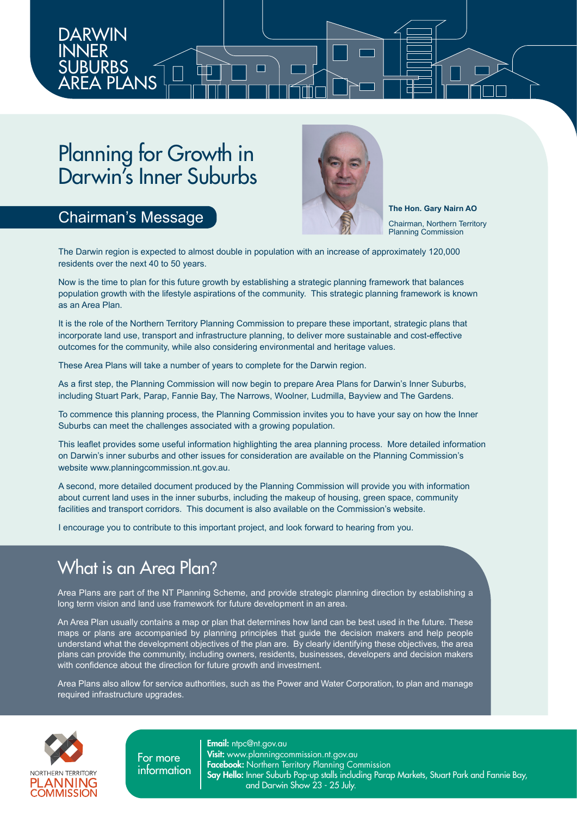Planning for Growth in Darwin's Inner Suburbs

### Chairman's Message

DARWIN INNER **SUBURBS** 

AREA PLANS



**The Hon. Gary Nairn AO** Chairman, Northern Territory Planning Commission

The Darwin region is expected to almost double in population with an increase of approximately 120,000 residents over the next 40 to 50 years.

Now is the time to plan for this future growth by establishing a strategic planning framework that balances population growth with the lifestyle aspirations of the community. This strategic planning framework is known as an Area Plan.

It is the role of the Northern Territory Planning Commission to prepare these important, strategic plans that incorporate land use, transport and infrastructure planning, to deliver more sustainable and cost-effective outcomes for the community, while also considering environmental and heritage values.

These Area Plans will take a number of years to complete for the Darwin region.

As a first step, the Planning Commission will now begin to prepare Area Plans for Darwin's Inner Suburbs, including Stuart Park, Parap, Fannie Bay, The Narrows, Woolner, Ludmilla, Bayview and The Gardens.

To commence this planning process, the Planning Commission invites you to have your say on how the Inner Suburbs can meet the challenges associated with a growing population.

This leaflet provides some useful information highlighting the area planning process. More detailed information on Darwin's inner suburbs and other issues for consideration are available on the Planning Commission's website www.planningcommission.nt.gov.au.

A second, more detailed document produced by the Planning Commission will provide you with information about current land uses in the inner suburbs, including the makeup of housing, green space, community facilities and transport corridors. This document is also available on the Commission's website.

I encourage you to contribute to this important project, and look forward to hearing from you.

### What is an Area Plan?

Area Plans are part of the NT Planning Scheme, and provide strategic planning direction by establishing a long term vision and land use framework for future development in an area.

An Area Plan usually contains a map or plan that determines how land can be best used in the future. These maps or plans are accompanied by planning principles that guide the decision makers and help people understand what the development objectives of the plan are. By clearly identifying these objectives, the area plans can provide the community, including owners, residents, businesses, developers and decision makers with confidence about the direction for future growth and investment.

Area Plans also allow for service authorities, such as the Power and Water Corporation, to plan and manage required infrastructure upgrades.



For more information **Email:** ntpc@nt.gov.au **Visit:** www.planningcommission.nt.gov.au **Facebook:** Northern Territory Planning Commission Say Hello: Inner Suburb Pop-up stalls including Parap Markets, Stuart Park and Fannie Bay, and Darwin Show 23 - 25 July.